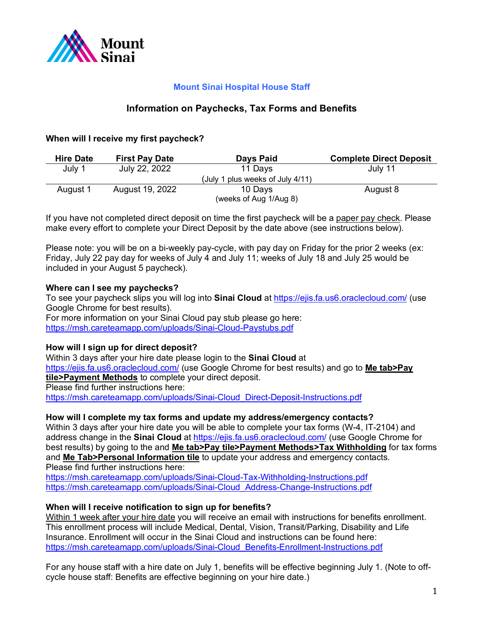

# **Mount Sinai Hospital House Staff**

## **Information on Paychecks, Tax Forms and Benefits**

## **When will I receive my first paycheck?**

| <b>Hire Date</b> | <b>First Pay Date</b> | Days Paid                           | <b>Complete Direct Deposit</b> |
|------------------|-----------------------|-------------------------------------|--------------------------------|
| July 1           | July 22, 2022         | 11 Days                             | July 11                        |
|                  |                       | plus weeks of July 4/11)<br>(Julv 1 |                                |
| August 1         | August 19, 2022       | 10 Days                             | August 8                       |
|                  |                       | (weeks of Aug 1/Aug 8)              |                                |

If you have not completed direct deposit on time the first paycheck will be a paper pay check. Please make every effort to complete your Direct Deposit by the date above (see instructions below).

Please note: you will be on a bi-weekly pay-cycle, with pay day on Friday for the prior 2 weeks (ex: Friday, July 22 pay day for weeks of July 4 and July 11; weeks of July 18 and July 25 would be included in your August 5 paycheck).

### **Where can I see my paychecks?**

To see your paycheck slips you will log into **Sinai Cloud** at https://ejis.fa.us6.oraclecloud.com/ (use Google Chrome for best results).

For more information on your Sinai Cloud pay stub please go here: https://msh.careteamapp.com/uploads/Sinai-Cloud-Paystubs.pdf

### **How will I sign up for direct deposit?**

Within 3 days after your hire date please login to the **Sinai Cloud** at https://ejis.fa.us6.oraclecloud.com/ (use Google Chrome for best results) and go to **Me tab>Pay tile>Payment Methods** to complete your direct deposit. Please find further instructions here: https://msh.careteamapp.com/uploads/Sinai-Cloud\_Direct-Deposit-Instructions.pdf

#### **How will I complete my tax forms and update my address/emergency contacts?**

Within 3 days after your hire date you will be able to complete your tax forms (W-4, IT-2104) and address change in the **Sinai Cloud** at https://ejis.fa.us6.oraclecloud.com/ (use Google Chrome for best results) by going to the and **Me tab>Pay tile>Payment Methods>Tax Withholding** for tax forms and **Me Tab>Personal Information tile** to update your address and emergency contacts. Please find further instructions here:

https://msh.careteamapp.com/uploads/Sinai-Cloud-Tax-Withholding-Instructions.pdf https://msh.careteamapp.com/uploads/Sinai-Cloud\_Address-Change-Instructions.pdf

### **When will I receive notification to sign up for benefits?**

Within 1 week after your hire date you will receive an email with instructions for benefits enrollment. This enrollment process will include Medical, Dental, Vision, Transit/Parking, Disability and Life Insurance. Enrollment will occur in the Sinai Cloud and instructions can be found here: https://msh.careteamapp.com/uploads/Sinai-Cloud\_Benefits-Enrollment-Instructions.pdf

For any house staff with a hire date on July 1, benefits will be effective beginning July 1. (Note to offcycle house staff: Benefits are effective beginning on your hire date.)